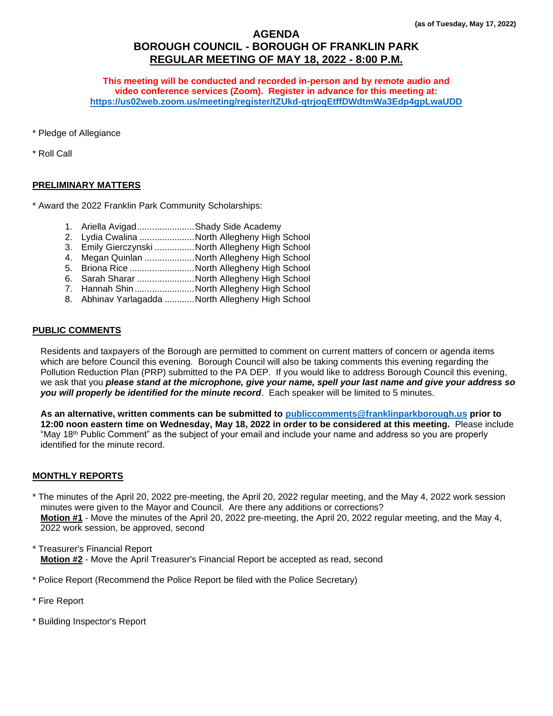# **AGENDA BOROUGH COUNCIL - BOROUGH OF FRANKLIN PARK REGULAR MEETING OF MAY 18, 2022 - 8:00 P.M.**

**This meeting will be conducted and recorded in-person and by remote audio and video conference services (Zoom). Register in advance for this meeting at: <https://us02web.zoom.us/meeting/register/tZUkd-qtrjoqEtffDWdtmWa3Edp4gpLwaUDD>**

\* Pledge of Allegiance

\* Roll Call

# **PRELIMINARY MATTERS**

\* Award the 2022 Franklin Park Community Scholarships:

- 1. Ariella Avigad.......................Shady Side Academy
- 2. Lydia Cwalina ......................North Allegheny High School
- 3. Emily Gierczynski ................North Allegheny High School
- 4. Megan Quinlan ....................North Allegheny High School
- 5. Briona Rice ..........................North Allegheny High School
- 6. Sarah Sharar .......................North Allegheny High School
- 7. Hannah Shin........................North Allegheny High School
- 8. Abhinav Yarlagadda ............North Allegheny High School

# **PUBLIC COMMENTS**

Residents and taxpayers of the Borough are permitted to comment on current matters of concern or agenda items which are before Council this evening. Borough Council will also be taking comments this evening regarding the Pollution Reduction Plan (PRP) submitted to the PA DEP. If you would like to address Borough Council this evening, we ask that you *please stand at the microphone, give your name, spell your last name and give your address so you will properly be identified for the minute record*. Each speaker will be limited to 5 minutes.

**As an alternative, written comments can be submitted to [publiccomments@franklinparkborough.us](mailto:publiccomments@franklinparkborough.us) prior to 12:00 noon eastern time on Wednesday, May 18, 2022 in order to be considered at this meeting.** Please include "May 18<sup>th</sup> Public Comment" as the subject of your email and include your name and address so you are properly identified for the minute record.

#### **MONTHLY REPORTS**

\* The minutes of the April 20, 2022 pre-meeting, the April 20, 2022 regular meeting, and the May 4, 2022 work session minutes were given to the Mayor and Council. Are there any additions or corrections? **Motion #1** - Move the minutes of the April 20, 2022 pre-meeting, the April 20, 2022 regular meeting, and the May 4, 2022 work session, be approved, second

- \* Treasurer's Financial Report **Motion #2** - Move the April Treasurer's Financial Report be accepted as read, second
- \* Police Report (Recommend the Police Report be filed with the Police Secretary)
- \* Fire Report
- \* Building Inspector's Report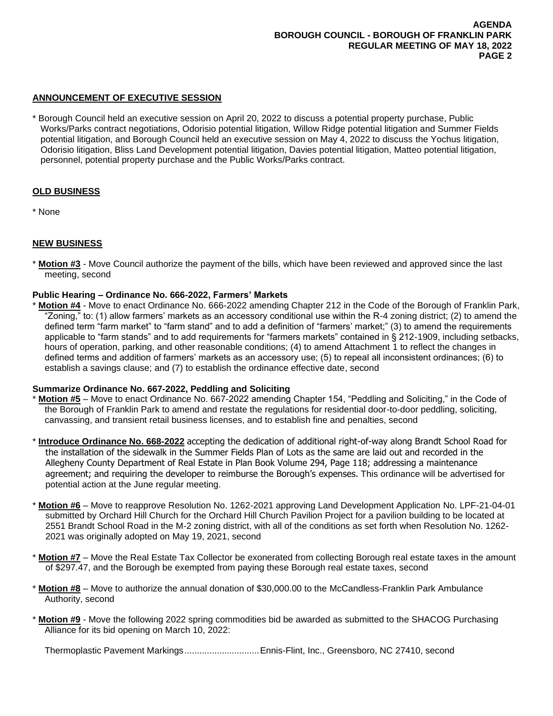## **ANNOUNCEMENT OF EXECUTIVE SESSION**

\* Borough Council held an executive session on April 20, 2022 to discuss a potential property purchase, Public Works/Parks contract negotiations, Odorisio potential litigation, Willow Ridge potential litigation and Summer Fields potential litigation, and Borough Council held an executive session on May 4, 2022 to discuss the Yochus litigation, Odorisio litigation, Bliss Land Development potential litigation, Davies potential litigation, Matteo potential litigation, personnel, potential property purchase and the Public Works/Parks contract.

## **OLD BUSINESS**

\* None

## **NEW BUSINESS**

\* **Motion #3** - Move Council authorize the payment of the bills, which have been reviewed and approved since the last meeting, second

## **Public Hearing – Ordinance No. 666-2022, Farmers' Markets**

Motion #4 - Move to enact Ordinance No. 666-2022 amending Chapter 212 in the Code of the Borough of Franklin Park, "Zoning," to: (1) allow farmers' markets as an accessory conditional use within the R-4 zoning district; (2) to amend the defined term "farm market" to "farm stand" and to add a definition of "farmers' market;" (3) to amend the requirements applicable to "farm stands" and to add requirements for "farmers markets" contained in § 212-1909, including setbacks, hours of operation, parking, and other reasonable conditions; (4) to amend Attachment 1 to reflect the changes in defined terms and addition of farmers' markets as an accessory use; (5) to repeal all inconsistent ordinances; (6) to establish a savings clause; and (7) to establish the ordinance effective date, second

#### **Summarize Ordinance No. 667-2022, Peddling and Soliciting**

- **Motion #5** Move to enact Ordinance No. 667-2022 amending Chapter 154, "Peddling and Soliciting," in the Code of the Borough of Franklin Park to amend and restate the regulations for residential door-to-door peddling, soliciting, canvassing, and transient retail business licenses, and to establish fine and penalties, second
- \* **Introduce Ordinance No. 668-2022** accepting the dedication of additional right-of-way along Brandt School Road for the installation of the sidewalk in the Summer Fields Plan of Lots as the same are laid out and recorded in the Allegheny County Department of Real Estate in Plan Book Volume 294, Page 118; addressing a maintenance agreement; and requiring the developer to reimburse the Borough's expenses. This ordinance will be advertised for potential action at the June regular meeting.
- \* **Motion #6** Move to reapprove Resolution No. 1262-2021 approving Land Development Application No. LPF-21-04-01 submitted by Orchard Hill Church for the Orchard Hill Church Pavilion Project for a pavilion building to be located at 2551 Brandt School Road in the M-2 zoning district, with all of the conditions as set forth when Resolution No. 1262- 2021 was originally adopted on May 19, 2021, second
- **Motion #7** Move the Real Estate Tax Collector be exonerated from collecting Borough real estate taxes in the amount of \$297.47, and the Borough be exempted from paying these Borough real estate taxes, second
- \* **Motion #8** Move to authorize the annual donation of \$30,000.00 to the McCandless-Franklin Park Ambulance Authority, second
- \* **Motion #9** Move the following 2022 spring commodities bid be awarded as submitted to the SHACOG Purchasing Alliance for its bid opening on March 10, 2022:

Thermoplastic Pavement Markings..............................Ennis-Flint, Inc., Greensboro, NC 27410, second